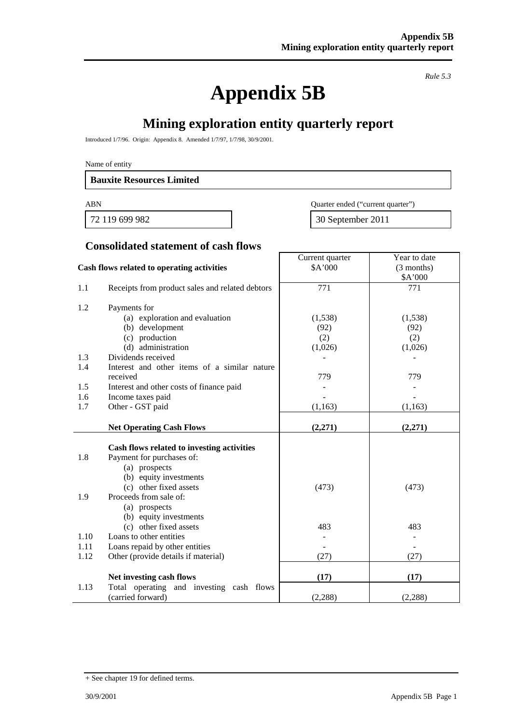**Appendix 5B**

*Rule 5.3*

Year to date

# **Mining exploration entity quarterly report**

Introduced 1/7/96. Origin: Appendix 8. Amended 1/7/97, 1/7/98, 30/9/2001.

Name of entity

#### **Bauxite Resources Limited**

ABN Quarter ended ("current quarter")

72 119 699 982 30 September 2011

Current quarter

#### **Consolidated statement of cash flows**

|      | Cash flows related to operating activities      | \$A'000  | (3 months)<br>\$A'000 |
|------|-------------------------------------------------|----------|-----------------------|
| 1.1  | Receipts from product sales and related debtors | 771      | 771                   |
| 1.2  | Payments for                                    |          |                       |
|      | (a) exploration and evaluation                  | (1,538)  | (1,538)               |
|      | (b) development                                 | (92)     | (92)                  |
|      | (c) production                                  | (2)      | (2)                   |
|      | (d) administration                              | (1,026)  | (1,026)               |
| 1.3  | Dividends received                              |          |                       |
| 1.4  | Interest and other items of a similar nature    |          |                       |
|      | received                                        | 779      | 779                   |
| 1.5  | Interest and other costs of finance paid        |          |                       |
| 1.6  | Income taxes paid                               |          |                       |
| 1.7  | Other - GST paid                                | (1, 163) | (1, 163)              |
|      |                                                 |          |                       |
|      | <b>Net Operating Cash Flows</b>                 | (2,271)  | (2,271)               |
|      |                                                 |          |                       |
|      | Cash flows related to investing activities      |          |                       |
| 1.8  | Payment for purchases of:                       |          |                       |
|      | (a) prospects                                   |          |                       |
|      | (b) equity investments                          |          |                       |
|      | (c) other fixed assets                          | (473)    | (473)                 |
| 1.9  | Proceeds from sale of:                          |          |                       |
|      | (a) prospects                                   |          |                       |
|      | (b) equity investments                          |          |                       |
|      | (c) other fixed assets                          | 483      | 483                   |
| 1.10 | Loans to other entities                         |          |                       |
| 1.11 | Loans repaid by other entities                  |          |                       |
| 1.12 | Other (provide details if material)             | (27)     | (27)                  |
|      | Net investing cash flows                        | (17)     | (17)                  |
| 1.13 | Total operating and investing cash flows        |          |                       |
|      | (carried forward)                               | (2, 288) | (2, 288)              |

<sup>+</sup> See chapter 19 for defined terms.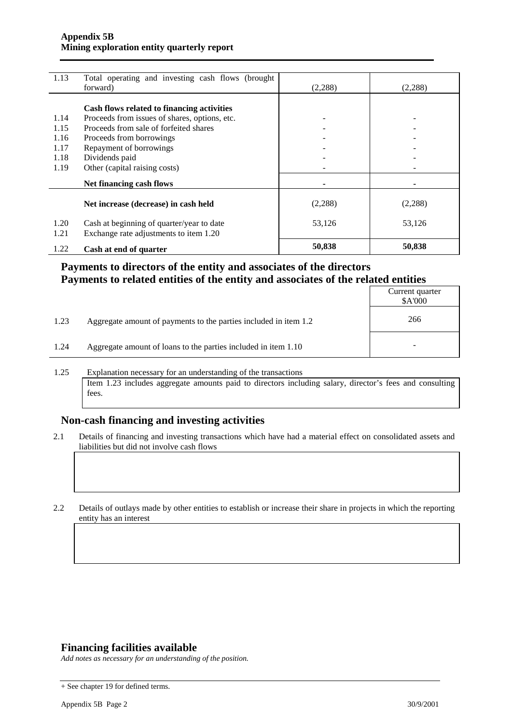| 1.13         | Total operating and investing cash flows (brought                                   |          |         |
|--------------|-------------------------------------------------------------------------------------|----------|---------|
|              | forward)                                                                            | (2,288)  | (2,288) |
|              |                                                                                     |          |         |
|              | Cash flows related to financing activities                                          |          |         |
| 1.14         | Proceeds from issues of shares, options, etc.                                       |          |         |
| 1.15         | Proceeds from sale of forfeited shares                                              |          |         |
| 1.16         | Proceeds from borrowings                                                            |          |         |
| 1.17         | Repayment of borrowings                                                             |          |         |
| 1.18         | Dividends paid                                                                      |          |         |
| 1.19         | Other (capital raising costs)                                                       |          |         |
|              | Net financing cash flows                                                            |          |         |
|              | Net increase (decrease) in cash held                                                | (2, 288) | (2,288) |
| 1.20<br>1.21 | Cash at beginning of quarter/year to date<br>Exchange rate adjustments to item 1.20 | 53,126   | 53,126  |
| 1.22         | Cash at end of quarter                                                              | 50,838   | 50,838  |

### **Payments to directors of the entity and associates of the directors Payments to related entities of the entity and associates of the related entities**

|      |                                                                  | Current quarter<br>\$A'000 |
|------|------------------------------------------------------------------|----------------------------|
| 1.23 | Aggregate amount of payments to the parties included in item 1.2 | 266                        |
| 1.24 | Aggregate amount of loans to the parties included in item 1.10   | -                          |

1.25 Explanation necessary for an understanding of the transactions Item 1.23 includes aggregate amounts paid to directors including salary, director's fees and consulting fees.

### **Non-cash financing and investing activities**

2.1 Details of financing and investing transactions which have had a material effect on consolidated assets and liabilities but did not involve cash flows

2.2 Details of outlays made by other entities to establish or increase their share in projects in which the reporting entity has an interest

#### **Financing facilities available**

*Add notes as necessary for an understanding of the position.*

<sup>+</sup> See chapter 19 for defined terms.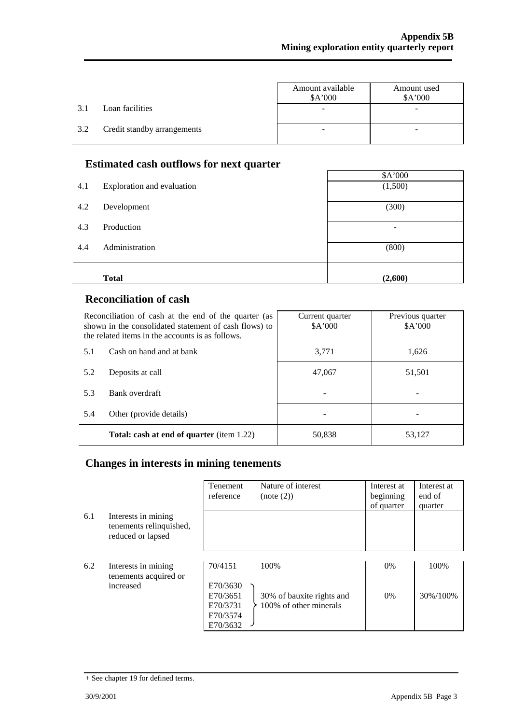$\overline{\phantom{a}}$ 

|     |                             | Amount available<br>\$A'000 | Amount used<br>\$A'000 |
|-----|-----------------------------|-----------------------------|------------------------|
| 3.1 | Loan facilities             |                             |                        |
| 3.2 | Credit standby arrangements |                             |                        |

### **Estimated cash outflows for next quarter**

|     | ж.                         | \$A'000 |
|-----|----------------------------|---------|
| 4.1 | Exploration and evaluation | (1,500) |
| 4.2 | Development                | (300)   |
| 4.3 | Production                 | ۰       |
| 4.4 | Administration             | (800)   |
|     |                            |         |
|     | <b>Total</b>               | (2,600) |

### **Reconciliation of cash**

| Reconciliation of cash at the end of the quarter (as<br>shown in the consolidated statement of cash flows) to<br>the related items in the accounts is as follows. |                                                  | Current quarter<br>A'000 | Previous quarter<br>A'000 |
|-------------------------------------------------------------------------------------------------------------------------------------------------------------------|--------------------------------------------------|--------------------------|---------------------------|
| 5.1                                                                                                                                                               | Cash on hand and at bank                         | 3.771                    | 1,626                     |
| 5.2                                                                                                                                                               | Deposits at call                                 | 47,067                   | 51,501                    |
| 5.3                                                                                                                                                               | Bank overdraft                                   |                          |                           |
| 5.4                                                                                                                                                               | Other (provide details)                          |                          |                           |
|                                                                                                                                                                   | <b>Total: cash at end of quarter</b> (item 1.22) | 50,838                   | 53,127                    |

## **Changes in interests in mining tenements**

|     |                                                                     | Tenement<br>reference | Nature of interest<br>(note (2)) | Interest at<br>beginning<br>of quarter | Interest at<br>end of<br>quarter |
|-----|---------------------------------------------------------------------|-----------------------|----------------------------------|----------------------------------------|----------------------------------|
| 6.1 | Interests in mining<br>tenements relinquished,<br>reduced or lapsed |                       |                                  |                                        |                                  |
|     |                                                                     |                       |                                  |                                        |                                  |
| 6.2 | Interests in mining<br>tenements acquired or                        | 70/4151               | 100\%                            | $0\%$                                  | 100%                             |
|     | increased                                                           | E70/3630              |                                  |                                        |                                  |
|     |                                                                     | E70/3651              | 30% of bauxite rights and        | 0%                                     | 30%/100%                         |
|     |                                                                     | E70/3731              | 100% of other minerals           |                                        |                                  |
|     |                                                                     | E70/3574              |                                  |                                        |                                  |
|     |                                                                     | E70/3632              |                                  |                                        |                                  |

<sup>+</sup> See chapter 19 for defined terms.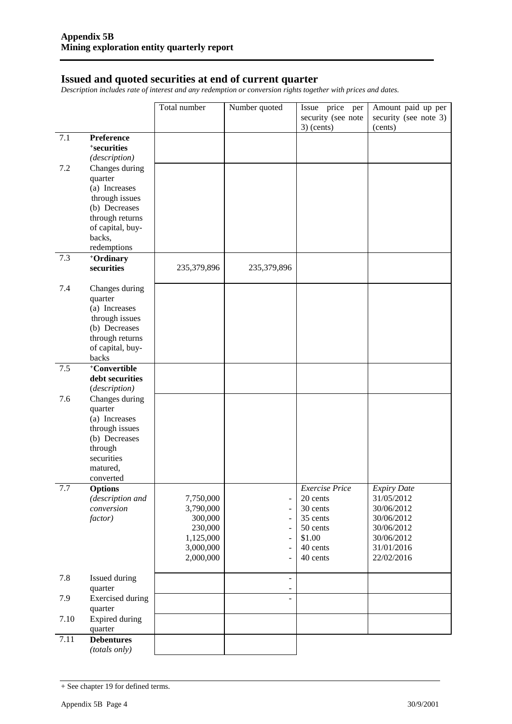#### **Issued and quoted securities at end of current quarter**

*Description includes rate of interest and any redemption or conversion rights together with prices and dates.*

|      |                                     | Total number       | Number quoted                                        | Issue price per                    | Amount paid up per               |
|------|-------------------------------------|--------------------|------------------------------------------------------|------------------------------------|----------------------------------|
|      |                                     |                    |                                                      | security (see note<br>$3)$ (cents) | security (see note 3)<br>(cents) |
| 7.1  | Preference                          |                    |                                                      |                                    |                                  |
|      | +securities                         |                    |                                                      |                                    |                                  |
|      | (description)                       |                    |                                                      |                                    |                                  |
| 7.2  | Changes during<br>quarter           |                    |                                                      |                                    |                                  |
|      | (a) Increases                       |                    |                                                      |                                    |                                  |
|      | through issues                      |                    |                                                      |                                    |                                  |
|      | (b) Decreases                       |                    |                                                      |                                    |                                  |
|      | through returns<br>of capital, buy- |                    |                                                      |                                    |                                  |
|      | backs,                              |                    |                                                      |                                    |                                  |
|      | redemptions                         |                    |                                                      |                                    |                                  |
| 7.3  | +Ordinary                           |                    |                                                      |                                    |                                  |
|      | securities                          | 235,379,896        | 235,379,896                                          |                                    |                                  |
| 7.4  | Changes during                      |                    |                                                      |                                    |                                  |
|      | quarter                             |                    |                                                      |                                    |                                  |
|      | (a) Increases<br>through issues     |                    |                                                      |                                    |                                  |
|      | (b) Decreases                       |                    |                                                      |                                    |                                  |
|      | through returns                     |                    |                                                      |                                    |                                  |
|      | of capital, buy-                    |                    |                                                      |                                    |                                  |
| 7.5  | backs<br>+Convertible               |                    |                                                      |                                    |                                  |
|      | debt securities                     |                    |                                                      |                                    |                                  |
|      | (description)                       |                    |                                                      |                                    |                                  |
| 7.6  | Changes during                      |                    |                                                      |                                    |                                  |
|      | quarter                             |                    |                                                      |                                    |                                  |
|      | (a) Increases<br>through issues     |                    |                                                      |                                    |                                  |
|      | (b) Decreases                       |                    |                                                      |                                    |                                  |
|      | through                             |                    |                                                      |                                    |                                  |
|      | securities                          |                    |                                                      |                                    |                                  |
|      | matured,<br>converted               |                    |                                                      |                                    |                                  |
| 7.7  | <b>Options</b>                      |                    |                                                      | <b>Exercise Price</b>              | <b>Expiry Date</b>               |
|      | (description and                    | 7,750,000          | $\qquad \qquad \blacksquare$                         | 20 cents                           | 31/05/2012                       |
|      | conversion                          | 3,790,000          | $\frac{1}{2}$                                        | 30 cents                           | 30/06/2012                       |
|      | factor)                             | 300,000<br>230,000 | $\overline{\phantom{a}}$<br>$\blacksquare$           | 35 cents<br>50 cents               | 30/06/2012<br>30/06/2012         |
|      |                                     | 1,125,000          | $\frac{1}{2}$                                        | \$1.00                             | 30/06/2012                       |
|      |                                     | 3,000,000          | $\overline{a}$                                       | 40 cents                           | 31/01/2016                       |
|      |                                     | 2,000,000          | $\overline{a}$                                       | 40 cents                           | 22/02/2016                       |
| 7.8  | Issued during                       |                    | $\overline{\phantom{0}}$                             |                                    |                                  |
| 7.9  | quarter<br><b>Exercised</b> during  |                    | $\overline{\phantom{0}}$<br>$\overline{\phantom{0}}$ |                                    |                                  |
|      | quarter                             |                    |                                                      |                                    |                                  |
| 7.10 | <b>Expired during</b><br>quarter    |                    |                                                      |                                    |                                  |
| 7.11 | <b>Debentures</b>                   |                    |                                                      |                                    |                                  |
|      | (totals only)                       |                    |                                                      |                                    |                                  |

<sup>+</sup> See chapter 19 for defined terms.